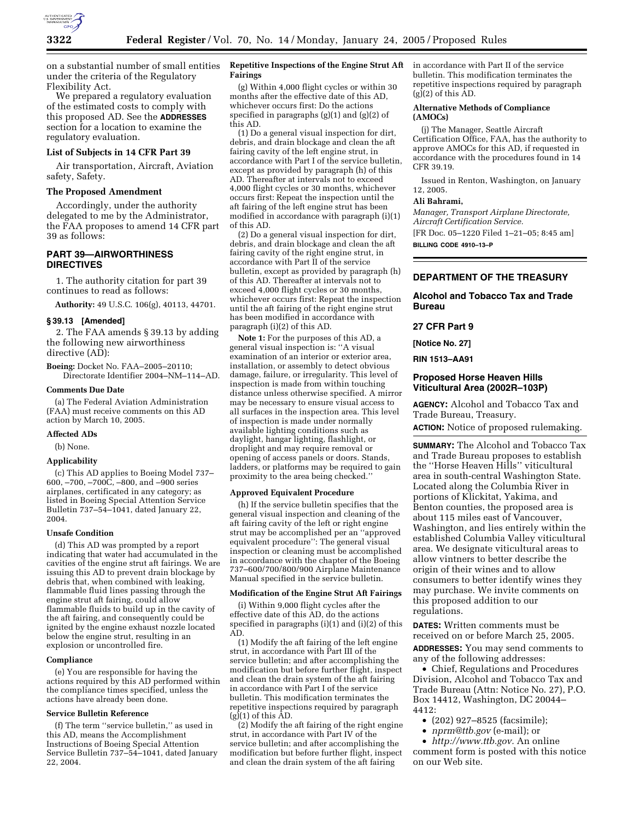

on a substantial number of small entities under the criteria of the Regulatory Flexibility Act.

We prepared a regulatory evaluation of the estimated costs to comply with this proposed AD. See the **ADDRESSES** section for a location to examine the regulatory evaluation.

## **List of Subjects in 14 CFR Part 39**

Air transportation, Aircraft, Aviation safety, Safety.

## **The Proposed Amendment**

Accordingly, under the authority delegated to me by the Administrator, the FAA proposes to amend 14 CFR part 39 as follows:

## **PART 39—AIRWORTHINESS DIRECTIVES**

1. The authority citation for part 39 continues to read as follows:

**Authority:** 49 U.S.C. 106(g), 40113, 44701.

#### **§ 39.13 [Amended]**

2. The FAA amends § 39.13 by adding the following new airworthiness directive (AD):

**Boeing:** Docket No. FAA–2005–20110; Directorate Identifier 2004–NM–114–AD.

#### **Comments Due Date**

(a) The Federal Aviation Administration (FAA) must receive comments on this AD action by March 10, 2005.

## **Affected ADs**

(b) None.

### **Applicability**

(c) This AD applies to Boeing Model 737– 600, –700, –700C, –800, and –900 series airplanes, certificated in any category; as listed in Boeing Special Attention Service Bulletin 737–54–1041, dated January 22, 2004.

#### **Unsafe Condition**

(d) This AD was prompted by a report indicating that water had accumulated in the cavities of the engine strut aft fairings. We are issuing this AD to prevent drain blockage by debris that, when combined with leaking, flammable fluid lines passing through the engine strut aft fairing, could allow flammable fluids to build up in the cavity of the aft fairing, and consequently could be ignited by the engine exhaust nozzle located below the engine strut, resulting in an explosion or uncontrolled fire.

#### **Compliance**

(e) You are responsible for having the actions required by this AD performed within the compliance times specified, unless the actions have already been done.

# **Service Bulletin Reference**

(f) The term ''service bulletin,'' as used in this AD, means the Accomplishment Instructions of Boeing Special Attention Service Bulletin 737–54–1041, dated January 22, 2004.

## **Repetitive Inspections of the Engine Strut Aft Fairings**

(g) Within 4,000 flight cycles or within 30 months after the effective date of this AD, whichever occurs first: Do the actions specified in paragraphs (g)(1) and (g)(2) of this AD.

(1) Do a general visual inspection for dirt, debris, and drain blockage and clean the aft fairing cavity of the left engine strut, in accordance with Part I of the service bulletin, except as provided by paragraph (h) of this AD. Thereafter at intervals not to exceed 4,000 flight cycles or 30 months, whichever occurs first: Repeat the inspection until the aft fairing of the left engine strut has been modified in accordance with paragraph (i)(1) of this AD.

(2) Do a general visual inspection for dirt, debris, and drain blockage and clean the aft fairing cavity of the right engine strut, in accordance with Part II of the service bulletin, except as provided by paragraph (h) of this AD. Thereafter at intervals not to exceed 4,000 flight cycles or 30 months, whichever occurs first: Repeat the inspection until the aft fairing of the right engine strut has been modified in accordance with paragraph (i)(2) of this AD.

**Note 1:** For the purposes of this AD, a general visual inspection is: ''A visual examination of an interior or exterior area, installation, or assembly to detect obvious damage, failure, or irregularity. This level of inspection is made from within touching distance unless otherwise specified. A mirror may be necessary to ensure visual access to all surfaces in the inspection area. This level of inspection is made under normally available lighting conditions such as daylight, hangar lighting, flashlight, or droplight and may require removal or opening of access panels or doors. Stands, ladders, or platforms may be required to gain proximity to the area being checked.''

#### **Approved Equivalent Procedure**

(h) If the service bulletin specifies that the general visual inspection and cleaning of the aft fairing cavity of the left or right engine strut may be accomplished per an ''approved equivalent procedure'': The general visual inspection or cleaning must be accomplished in accordance with the chapter of the Boeing 737–600/700/800/900 Airplane Maintenance Manual specified in the service bulletin.

## **Modification of the Engine Strut Aft Fairings**

(i) Within 9,000 flight cycles after the effective date of this AD, do the actions specified in paragraphs (i)(1) and (i)(2) of this AD.

(1) Modify the aft fairing of the left engine strut, in accordance with Part III of the service bulletin; and after accomplishing the modification but before further flight, inspect and clean the drain system of the aft fairing in accordance with Part I of the service bulletin. This modification terminates the repetitive inspections required by paragraph  $(g)(1)$  of this  $AD$ .

(2) Modify the aft fairing of the right engine strut, in accordance with Part IV of the service bulletin; and after accomplishing the modification but before further flight, inspect and clean the drain system of the aft fairing

in accordance with Part II of the service bulletin. This modification terminates the repetitive inspections required by paragraph  $(g)(2)$  of this AD.

### **Alternative Methods of Compliance (AMOCs)**

(j) The Manager, Seattle Aircraft Certification Office, FAA, has the authority to approve AMOCs for this AD, if requested in accordance with the procedures found in 14 CFR 39.19.

Issued in Renton, Washington, on January 12, 2005.

#### **Ali Bahrami,**

*Manager, Transport Airplane Directorate, Aircraft Certification Service.*

[FR Doc. 05–1220 Filed 1–21–05; 8:45 am]

**BILLING CODE 4910–13–P**

## **DEPARTMENT OF THE TREASURY**

## **Alcohol and Tobacco Tax and Trade Bureau**

## **27 CFR Part 9**

**[Notice No. 27]** 

**RIN 1513–AA91** 

## **Proposed Horse Heaven Hills Viticultural Area (2002R–103P)**

**AGENCY:** Alcohol and Tobacco Tax and Trade Bureau, Treasury.

**ACTION:** Notice of proposed rulemaking.

**SUMMARY:** The Alcohol and Tobacco Tax and Trade Bureau proposes to establish the ''Horse Heaven Hills'' viticultural area in south-central Washington State. Located along the Columbia River in portions of Klickitat, Yakima, and Benton counties, the proposed area is about 115 miles east of Vancouver, Washington, and lies entirely within the established Columbia Valley viticultural area. We designate viticultural areas to allow vintners to better describe the origin of their wines and to allow consumers to better identify wines they may purchase. We invite comments on this proposed addition to our regulations.

**DATES:** Written comments must be received on or before March 25, 2005.

**ADDRESSES:** You may send comments to any of the following addresses:

• Chief, Regulations and Procedures Division, Alcohol and Tobacco Tax and Trade Bureau (Attn: Notice No. 27), P.O. Box 14412, Washington, DC 20044– 4412:

- (202) 927–8525 (facsimile);
- *nprm@ttb.gov* (e-mail); or

• *http://www.ttb.gov.* An online comment form is posted with this notice on our Web site.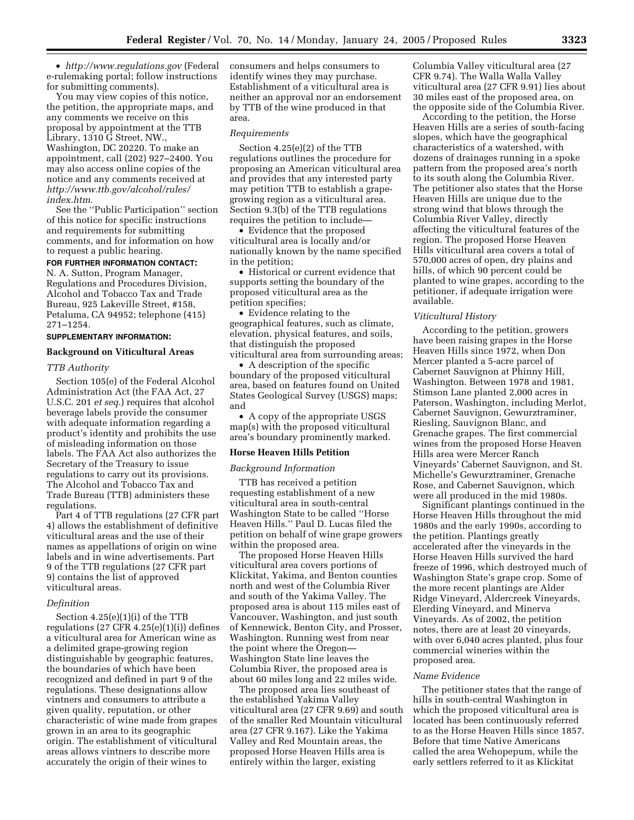• *http://www.regulations.gov* (Federal e-rulemaking portal; follow instructions for submitting comments).

You may view copies of this notice, the petition, the appropriate maps, and any comments we receive on this proposal by appointment at the TTB Library, 1310 G Street, NW., Washington, DC 20220. To make an appointment, call (202) 927–2400. You may also access online copies of the notice and any comments received at *http://www.ttb.gov/alcohol/rules/ index.htm.*

See the ''Public Participation'' section of this notice for specific instructions and requirements for submitting comments, and for information on how to request a public hearing.

# **FOR FURTHER INFORMATION CONTACT:**

N. A. Sutton, Program Manager, Regulations and Procedures Division, Alcohol and Tobacco Tax and Trade Bureau, 925 Lakeville Street, #158, Petaluma, CA 94952; telephone (415) 271–1254.

## **SUPPLEMENTARY INFORMATION:**

## **Background on Viticultural Areas**

#### *TTB Authority*

Section 105(e) of the Federal Alcohol Administration Act (the FAA Act, 27 U.S.C. 201 *et seq.*) requires that alcohol beverage labels provide the consumer with adequate information regarding a product's identity and prohibits the use of misleading information on those labels. The FAA Act also authorizes the Secretary of the Treasury to issue regulations to carry out its provisions. The Alcohol and Tobacco Tax and Trade Bureau (TTB) administers these regulations.

Part 4 of TTB regulations (27 CFR part 4) allows the establishment of definitive viticultural areas and the use of their names as appellations of origin on wine labels and in wine advertisements. Part 9 of the TTB regulations (27 CFR part 9) contains the list of approved viticultural areas.

## *Definition*

Section 4.25(e)(1)(i) of the TTB regulations  $(27 \text{ CFR } 4.25(e)(1)(i))$  defines a viticultural area for American wine as a delimited grape-growing region distinguishable by geographic features, the boundaries of which have been recognized and defined in part 9 of the regulations. These designations allow vintners and consumers to attribute a given quality, reputation, or other characteristic of wine made from grapes grown in an area to its geographic origin. The establishment of viticultural areas allows vintners to describe more accurately the origin of their wines to

consumers and helps consumers to identify wines they may purchase. Establishment of a viticultural area is neither an approval nor an endorsement by TTB of the wine produced in that area.

#### *Requirements*

Section 4.25(e)(2) of the TTB regulations outlines the procedure for proposing an American viticultural area and provides that any interested party may petition TTB to establish a grapegrowing region as a viticultural area. Section 9.3(b) of the TTB regulations requires the petition to include—

• Evidence that the proposed viticultural area is locally and/or nationally known by the name specified in the petition;

• Historical or current evidence that supports setting the boundary of the proposed viticultural area as the petition specifies;

• Evidence relating to the geographical features, such as climate, elevation, physical features, and soils, that distinguish the proposed viticultural area from surrounding areas;

• A description of the specific boundary of the proposed viticultural area, based on features found on United States Geological Survey (USGS) maps; and

• A copy of the appropriate USGS map(s) with the proposed viticultural area's boundary prominently marked.

#### **Horse Heaven Hills Petition**

### *Background Information*

TTB has received a petition requesting establishment of a new viticultural area in south-central Washington State to be called ''Horse Heaven Hills.'' Paul D. Lucas filed the petition on behalf of wine grape growers within the proposed area.

The proposed Horse Heaven Hills viticultural area covers portions of Klickitat, Yakima, and Benton counties north and west of the Columbia River and south of the Yakima Valley. The proposed area is about 115 miles east of Vancouver, Washington, and just south of Kennewick, Benton City, and Prosser, Washington. Running west from near the point where the Oregon— Washington State line leaves the Columbia River, the proposed area is about 60 miles long and 22 miles wide.

The proposed area lies southeast of the established Yakima Valley viticultural area (27 CFR 9.69) and south of the smaller Red Mountain viticultural area (27 CFR 9.167). Like the Yakima Valley and Red Mountain areas, the proposed Horse Heaven Hills area is entirely within the larger, existing

Columbia Valley viticultural area (27 CFR 9.74). The Walla Walla Valley viticultural area (27 CFR 9.91) lies about 30 miles east of the proposed area, on the opposite side of the Columbia River.

According to the petition, the Horse Heaven Hills are a series of south-facing slopes, which have the geographical characteristics of a watershed, with dozens of drainages running in a spoke pattern from the proposed area's north to its south along the Columbia River. The petitioner also states that the Horse Heaven Hills are unique due to the strong wind that blows through the Columbia River Valley, directly affecting the viticultural features of the region. The proposed Horse Heaven Hills viticultural area covers a total of 570,000 acres of open, dry plains and hills, of which 90 percent could be planted to wine grapes, according to the petitioner, if adequate irrigation were available.

### *Viticultural History*

According to the petition, growers have been raising grapes in the Horse Heaven Hills since 1972, when Don Mercer planted a 5-acre parcel of Cabernet Sauvignon at Phinny Hill, Washington. Between 1978 and 1981, Stimson Lane planted 2,000 acres in Paterson, Washington, including Merlot, Cabernet Sauvignon, Gewurztraminer, Riesling, Sauvignon Blanc, and Grenache grapes. The first commercial wines from the proposed Horse Heaven Hills area were Mercer Ranch Vineyards' Cabernet Sauvignon, and St. Michelle's Gewurztraminer, Grenache Rose, and Cabernet Sauvignon, which were all produced in the mid 1980s.

Significant plantings continued in the Horse Heaven Hills throughout the mid 1980s and the early 1990s, according to the petition. Plantings greatly accelerated after the vineyards in the Horse Heaven Hills survived the hard freeze of 1996, which destroyed much of Washington State's grape crop. Some of the more recent plantings are Alder Ridge Vineyard, Aldercreek Vineyards, Elerding Vineyard, and Minerva Vineyards. As of 2002, the petition notes, there are at least 20 vineyards, with over 6,040 acres planted, plus four commercial wineries within the proposed area.

#### *Name Evidence*

The petitioner states that the range of hills in south-central Washington in which the proposed viticultural area is located has been continuously referred to as the Horse Heaven Hills since 1857. Before that time Native Americans called the area Wehopepum, while the early settlers referred to it as Klickitat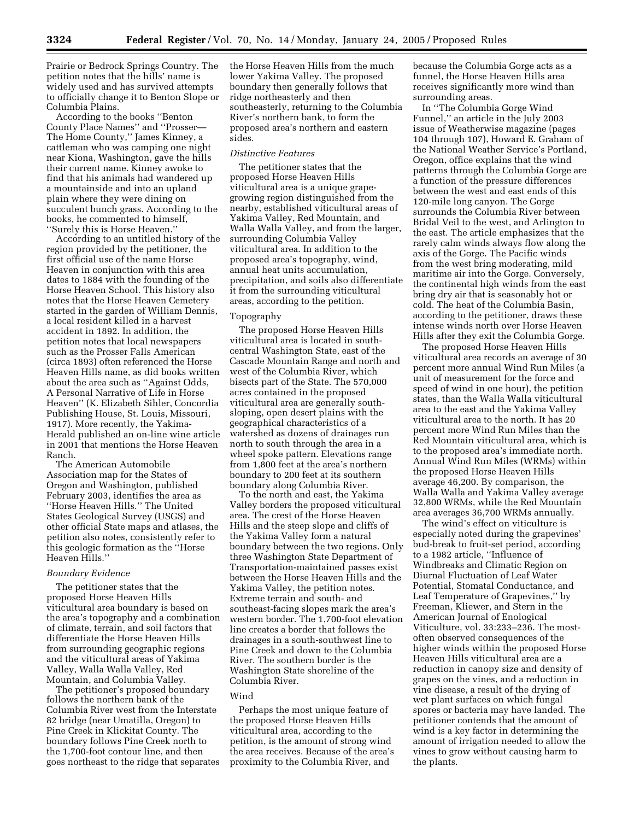Prairie or Bedrock Springs Country. The petition notes that the hills' name is widely used and has survived attempts to officially change it to Benton Slope or Columbia Plains.

According to the books ''Benton County Place Names'' and ''Prosser— The Home County,'' James Kinney, a cattleman who was camping one night near Kiona, Washington, gave the hills their current name. Kinney awoke to find that his animals had wandered up a mountainside and into an upland plain where they were dining on succulent bunch grass. According to the books, he commented to himself, ''Surely this is Horse Heaven.''

According to an untitled history of the region provided by the petitioner, the first official use of the name Horse Heaven in conjunction with this area dates to 1884 with the founding of the Horse Heaven School. This history also notes that the Horse Heaven Cemetery started in the garden of William Dennis, a local resident killed in a harvest accident in 1892. In addition, the petition notes that local newspapers such as the Prosser Falls American (circa 1893) often referenced the Horse Heaven Hills name, as did books written about the area such as ''Against Odds, A Personal Narrative of Life in Horse Heaven'' (K. Elizabeth Sihler, Concordia Publishing House, St. Louis, Missouri, 1917). More recently, the Yakima-Herald published an on-line wine article in 2001 that mentions the Horse Heaven Ranch.

The American Automobile Association map for the States of Oregon and Washington, published February 2003, identifies the area as ''Horse Heaven Hills.'' The United States Geological Survey (USGS) and other official State maps and atlases, the petition also notes, consistently refer to this geologic formation as the ''Horse Heaven Hills.''

## *Boundary Evidence*

The petitioner states that the proposed Horse Heaven Hills viticultural area boundary is based on the area's topography and a combination of climate, terrain, and soil factors that differentiate the Horse Heaven Hills from surrounding geographic regions and the viticultural areas of Yakima Valley, Walla Walla Valley, Red Mountain, and Columbia Valley.

The petitioner's proposed boundary follows the northern bank of the Columbia River west from the Interstate 82 bridge (near Umatilla, Oregon) to Pine Creek in Klickitat County. The boundary follows Pine Creek north to the 1,700-foot contour line, and then goes northeast to the ridge that separates the Horse Heaven Hills from the much lower Yakima Valley. The proposed boundary then generally follows that ridge northeasterly and then southeasterly, returning to the Columbia River's northern bank, to form the proposed area's northern and eastern sides.

## *Distinctive Features*

The petitioner states that the proposed Horse Heaven Hills viticultural area is a unique grapegrowing region distinguished from the nearby, established viticultural areas of Yakima Valley, Red Mountain, and Walla Walla Valley, and from the larger, surrounding Columbia Valley viticultural area. In addition to the proposed area's topography, wind, annual heat units accumulation, precipitation, and soils also differentiate it from the surrounding viticultural areas, according to the petition.

#### Topography

The proposed Horse Heaven Hills viticultural area is located in southcentral Washington State, east of the Cascade Mountain Range and north and west of the Columbia River, which bisects part of the State. The 570,000 acres contained in the proposed viticultural area are generally southsloping, open desert plains with the geographical characteristics of a watershed as dozens of drainages run north to south through the area in a wheel spoke pattern. Elevations range from 1,800 feet at the area's northern boundary to 200 feet at its southern boundary along Columbia River.

To the north and east, the Yakima Valley borders the proposed viticultural area. The crest of the Horse Heaven Hills and the steep slope and cliffs of the Yakima Valley form a natural boundary between the two regions. Only three Washington State Department of Transportation-maintained passes exist between the Horse Heaven Hills and the Yakima Valley, the petition notes. Extreme terrain and south- and southeast-facing slopes mark the area's western border. The 1,700-foot elevation line creates a border that follows the drainages in a south-southwest line to Pine Creek and down to the Columbia River. The southern border is the Washington State shoreline of the Columbia River.

#### Wind

Perhaps the most unique feature of the proposed Horse Heaven Hills viticultural area, according to the petition, is the amount of strong wind the area receives. Because of the area's proximity to the Columbia River, and

because the Columbia Gorge acts as a funnel, the Horse Heaven Hills area receives significantly more wind than surrounding areas.

In ''The Columbia Gorge Wind Funnel,'' an article in the July 2003 issue of Weatherwise magazine (pages 104 through 107), Howard E. Graham of the National Weather Service's Portland, Oregon, office explains that the wind patterns through the Columbia Gorge are a function of the pressure differences between the west and east ends of this 120-mile long canyon. The Gorge surrounds the Columbia River between Bridal Veil to the west, and Arlington to the east. The article emphasizes that the rarely calm winds always flow along the axis of the Gorge. The Pacific winds from the west bring moderating, mild maritime air into the Gorge. Conversely, the continental high winds from the east bring dry air that is seasonably hot or cold. The heat of the Columbia Basin, according to the petitioner, draws these intense winds north over Horse Heaven Hills after they exit the Columbia Gorge.

The proposed Horse Heaven Hills viticultural area records an average of 30 percent more annual Wind Run Miles (a unit of measurement for the force and speed of wind in one hour), the petition states, than the Walla Walla viticultural area to the east and the Yakima Valley viticultural area to the north. It has 20 percent more Wind Run Miles than the Red Mountain viticultural area, which is to the proposed area's immediate north. Annual Wind Run Miles (WRMs) within the proposed Horse Heaven Hills average 46,200. By comparison, the Walla Walla and Yakima Valley average 32,800 WRMs, while the Red Mountain area averages 36,700 WRMs annually.

The wind's effect on viticulture is especially noted during the grapevines' bud-break to fruit-set period, according to a 1982 article, ''Influence of Windbreaks and Climatic Region on Diurnal Fluctuation of Leaf Water Potential, Stomatal Conductance, and Leaf Temperature of Grapevines,'' by Freeman, Kliewer, and Stern in the American Journal of Enological Viticulture, vol. 33:233–236. The mostoften observed consequences of the higher winds within the proposed Horse Heaven Hills viticultural area are a reduction in canopy size and density of grapes on the vines, and a reduction in vine disease, a result of the drying of wet plant surfaces on which fungal spores or bacteria may have landed. The petitioner contends that the amount of wind is a key factor in determining the amount of irrigation needed to allow the vines to grow without causing harm to the plants.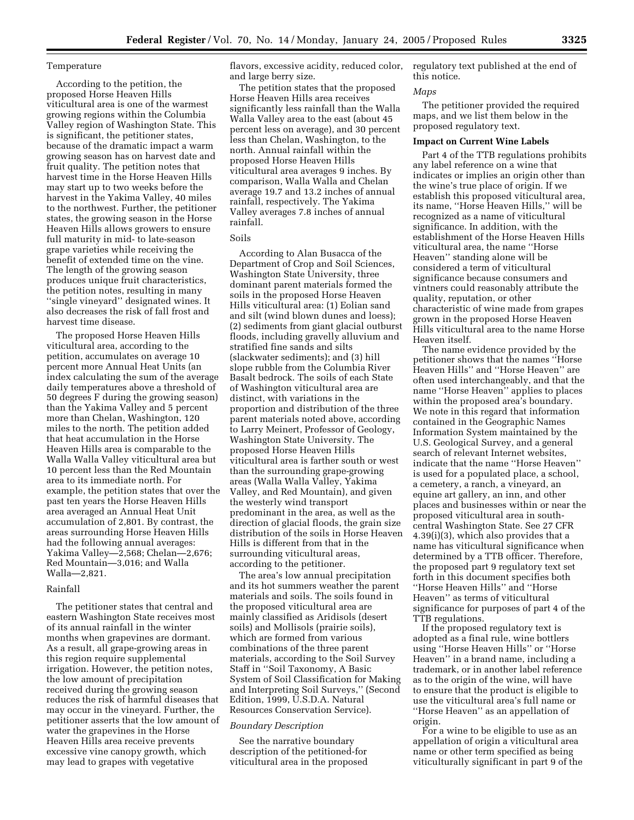## Temperature

According to the petition, the proposed Horse Heaven Hills viticultural area is one of the warmest growing regions within the Columbia Valley region of Washington State. This is significant, the petitioner states, because of the dramatic impact a warm growing season has on harvest date and fruit quality. The petition notes that harvest time in the Horse Heaven Hills may start up to two weeks before the harvest in the Yakima Valley, 40 miles to the northwest. Further, the petitioner states, the growing season in the Horse Heaven Hills allows growers to ensure full maturity in mid- to late-season grape varieties while receiving the benefit of extended time on the vine. The length of the growing season produces unique fruit characteristics, the petition notes, resulting in many ''single vineyard'' designated wines. It also decreases the risk of fall frost and harvest time disease.

The proposed Horse Heaven Hills viticultural area, according to the petition, accumulates on average 10 percent more Annual Heat Units (an index calculating the sum of the average daily temperatures above a threshold of 50 degrees F during the growing season) than the Yakima Valley and 5 percent more than Chelan, Washington, 120 miles to the north. The petition added that heat accumulation in the Horse Heaven Hills area is comparable to the Walla Walla Valley viticultural area but 10 percent less than the Red Mountain area to its immediate north. For example, the petition states that over the past ten years the Horse Heaven Hills area averaged an Annual Heat Unit accumulation of 2,801. By contrast, the areas surrounding Horse Heaven Hills had the following annual averages: Yakima Valley—2,568; Chelan—2,676; Red Mountain—3,016; and Walla Walla—2,821.

#### Rainfall

The petitioner states that central and eastern Washington State receives most of its annual rainfall in the winter months when grapevines are dormant. As a result, all grape-growing areas in this region require supplemental irrigation. However, the petition notes, the low amount of precipitation received during the growing season reduces the risk of harmful diseases that may occur in the vineyard. Further, the petitioner asserts that the low amount of water the grapevines in the Horse Heaven Hills area receive prevents excessive vine canopy growth, which may lead to grapes with vegetative

flavors, excessive acidity, reduced color, and large berry size.

The petition states that the proposed Horse Heaven Hills area receives significantly less rainfall than the Walla Walla Valley area to the east (about 45 percent less on average), and 30 percent less than Chelan, Washington, to the north. Annual rainfall within the proposed Horse Heaven Hills viticultural area averages 9 inches. By comparison, Walla Walla and Chelan average 19.7 and 13.2 inches of annual rainfall, respectively. The Yakima Valley averages 7.8 inches of annual rainfall.

# Soils

According to Alan Busacca of the Department of Crop and Soil Sciences, Washington State University, three dominant parent materials formed the soils in the proposed Horse Heaven Hills viticultural area: (1) Eolian sand and silt (wind blown dunes and loess); (2) sediments from giant glacial outburst floods, including gravelly alluvium and stratified fine sands and silts (slackwater sediments); and (3) hill slope rubble from the Columbia River Basalt bedrock. The soils of each State of Washington viticultural area are distinct, with variations in the proportion and distribution of the three parent materials noted above, according to Larry Meinert, Professor of Geology, Washington State University. The proposed Horse Heaven Hills viticultural area is farther south or west than the surrounding grape-growing areas (Walla Walla Valley, Yakima Valley, and Red Mountain), and given the westerly wind transport predominant in the area, as well as the direction of glacial floods, the grain size distribution of the soils in Horse Heaven Hills is different from that in the surrounding viticultural areas, according to the petitioner.

The area's low annual precipitation and its hot summers weather the parent materials and soils. The soils found in the proposed viticultural area are mainly classified as Aridisols (desert soils) and Mollisols (prairie soils), which are formed from various combinations of the three parent materials, according to the Soil Survey Staff in ''Soil Taxonomy, A Basic System of Soil Classification for Making and Interpreting Soil Surveys,'' (Second Edition, 1999, U.S.D.A. Natural Resources Conservation Service).

#### *Boundary Description*

See the narrative boundary description of the petitioned-for viticultural area in the proposed regulatory text published at the end of this notice.

### *Maps*

The petitioner provided the required maps, and we list them below in the proposed regulatory text.

## **Impact on Current Wine Labels**

Part 4 of the TTB regulations prohibits any label reference on a wine that indicates or implies an origin other than the wine's true place of origin. If we establish this proposed viticultural area, its name, ''Horse Heaven Hills,'' will be recognized as a name of viticultural significance. In addition, with the establishment of the Horse Heaven Hills viticultural area, the name ''Horse Heaven'' standing alone will be considered a term of viticultural significance because consumers and vintners could reasonably attribute the quality, reputation, or other characteristic of wine made from grapes grown in the proposed Horse Heaven Hills viticultural area to the name Horse Heaven itself.

The name evidence provided by the petitioner shows that the names ''Horse Heaven Hills'' and ''Horse Heaven'' are often used interchangeably, and that the name ''Horse Heaven'' applies to places within the proposed area's boundary. We note in this regard that information contained in the Geographic Names Information System maintained by the U.S. Geological Survey, and a general search of relevant Internet websites, indicate that the name ''Horse Heaven'' is used for a populated place, a school, a cemetery, a ranch, a vineyard, an equine art gallery, an inn, and other places and businesses within or near the proposed viticultural area in southcentral Washington State. See 27 CFR 4.39(i)(3), which also provides that a name has viticultural significance when determined by a TTB officer. Therefore, the proposed part 9 regulatory text set forth in this document specifies both ''Horse Heaven Hills'' and ''Horse Heaven'' as terms of viticultural significance for purposes of part 4 of the TTB regulations.

If the proposed regulatory text is adopted as a final rule, wine bottlers using ''Horse Heaven Hills'' or ''Horse Heaven'' in a brand name, including a trademark, or in another label reference as to the origin of the wine, will have to ensure that the product is eligible to use the viticultural area's full name or ''Horse Heaven'' as an appellation of origin.

For a wine to be eligible to use as an appellation of origin a viticultural area name or other term specified as being viticulturally significant in part 9 of the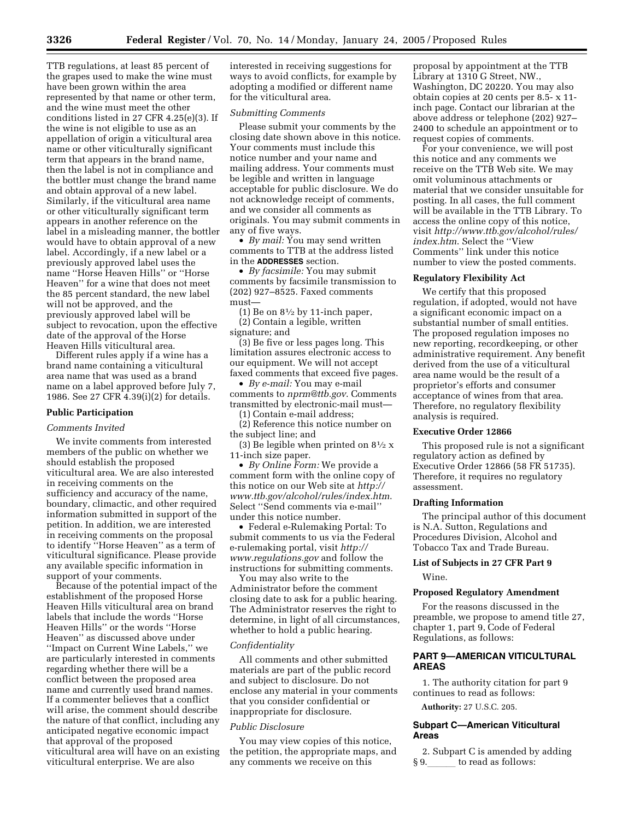TTB regulations, at least 85 percent of the grapes used to make the wine must have been grown within the area represented by that name or other term, and the wine must meet the other conditions listed in 27 CFR 4.25(e)(3). If the wine is not eligible to use as an appellation of origin a viticultural area name or other viticulturally significant term that appears in the brand name, then the label is not in compliance and the bottler must change the brand name and obtain approval of a new label. Similarly, if the viticultural area name or other viticulturally significant term appears in another reference on the label in a misleading manner, the bottler would have to obtain approval of a new label. Accordingly, if a new label or a previously approved label uses the name ''Horse Heaven Hills'' or ''Horse Heaven'' for a wine that does not meet the 85 percent standard, the new label will not be approved, and the previously approved label will be subject to revocation, upon the effective date of the approval of the Horse Heaven Hills viticultural area.

Different rules apply if a wine has a brand name containing a viticultural area name that was used as a brand name on a label approved before July 7, 1986. See 27 CFR 4.39(i)(2) for details.

## **Public Participation**

#### *Comments Invited*

We invite comments from interested members of the public on whether we should establish the proposed viticultural area. We are also interested in receiving comments on the sufficiency and accuracy of the name, boundary, climactic, and other required information submitted in support of the petition. In addition, we are interested in receiving comments on the proposal to identify ''Horse Heaven'' as a term of viticultural significance. Please provide any available specific information in support of your comments.

Because of the potential impact of the establishment of the proposed Horse Heaven Hills viticultural area on brand labels that include the words ''Horse Heaven Hills'' or the words ''Horse Heaven'' as discussed above under ''Impact on Current Wine Labels,'' we are particularly interested in comments regarding whether there will be a conflict between the proposed area name and currently used brand names. If a commenter believes that a conflict will arise, the comment should describe the nature of that conflict, including any anticipated negative economic impact that approval of the proposed viticultural area will have on an existing viticultural enterprise. We are also

interested in receiving suggestions for ways to avoid conflicts, for example by adopting a modified or different name for the viticultural area.

#### *Submitting Comments*

Please submit your comments by the closing date shown above in this notice. Your comments must include this notice number and your name and mailing address. Your comments must be legible and written in language acceptable for public disclosure. We do not acknowledge receipt of comments, and we consider all comments as originals. You may submit comments in any of five ways.

• *By mail:* You may send written comments to TTB at the address listed in the **ADDRESSES** section.

• *By facsimile:* You may submit comments by facsimile transmission to (202) 927–8525. Faxed comments must—

(1) Be on  $8\frac{1}{2}$  by 11-inch paper, (2) Contain a legible, written signature; and

(3) Be five or less pages long. This limitation assures electronic access to our equipment. We will not accept faxed comments that exceed five pages.

• *By e-mail:* You may e-mail comments to *nprm@ttb.gov*. Comments transmitted by electronic-mail must—

(1) Contain e-mail address;

(2) Reference this notice number on the subject line; and

(3) Be legible when printed on  $8\frac{1}{2}x$ 11-inch size paper.

• *By Online Form:* We provide a comment form with the online copy of this notice on our Web site at *http:// www.ttb.gov/alcohol/rules/index.htm*. Select ''Send comments via e-mail'' under this notice number.

• Federal e-Rulemaking Portal: To submit comments to us via the Federal e-rulemaking portal, visit *http:// www.regulations.gov* and follow the instructions for submitting comments.

You may also write to the Administrator before the comment closing date to ask for a public hearing. The Administrator reserves the right to determine, in light of all circumstances, whether to hold a public hearing.

## *Confidentiality*

All comments and other submitted materials are part of the public record and subject to disclosure. Do not enclose any material in your comments that you consider confidential or inappropriate for disclosure.

### *Public Disclosure*

You may view copies of this notice, the petition, the appropriate maps, and any comments we receive on this

proposal by appointment at the TTB Library at 1310 G Street, NW., Washington, DC 20220. You may also obtain copies at 20 cents per 8.5- x 11 inch page. Contact our librarian at the above address or telephone (202) 927– 2400 to schedule an appointment or to request copies of comments.

For your convenience, we will post this notice and any comments we receive on the TTB Web site. We may omit voluminous attachments or material that we consider unsuitable for posting. In all cases, the full comment will be available in the TTB Library. To access the online copy of this notice, visit *http://www.ttb.gov/alcohol/rules/ index.htm*. Select the ''View Comments'' link under this notice number to view the posted comments.

## **Regulatory Flexibility Act**

We certify that this proposed regulation, if adopted, would not have a significant economic impact on a substantial number of small entities. The proposed regulation imposes no new reporting, recordkeeping, or other administrative requirement. Any benefit derived from the use of a viticultural area name would be the result of a proprietor's efforts and consumer acceptance of wines from that area. Therefore, no regulatory flexibility analysis is required.

### **Executive Order 12866**

This proposed rule is not a significant regulatory action as defined by Executive Order 12866 (58 FR 51735). Therefore, it requires no regulatory assessment.

## **Drafting Information**

The principal author of this document is N.A. Sutton, Regulations and Procedures Division, Alcohol and Tobacco Tax and Trade Bureau.

# **List of Subjects in 27 CFR Part 9**  Wine.

### **Proposed Regulatory Amendment**

For the reasons discussed in the preamble, we propose to amend title 27, chapter 1, part 9, Code of Federal Regulations, as follows:

# **PART 9—AMERICAN VITICULTURAL AREAS**

1. The authority citation for part 9 continues to read as follows:

**Authority:** 27 U.S.C. 205.

## **Subpart C—American Viticultural Areas**

2. Subpart C is amended by adding § 9. to read as follows: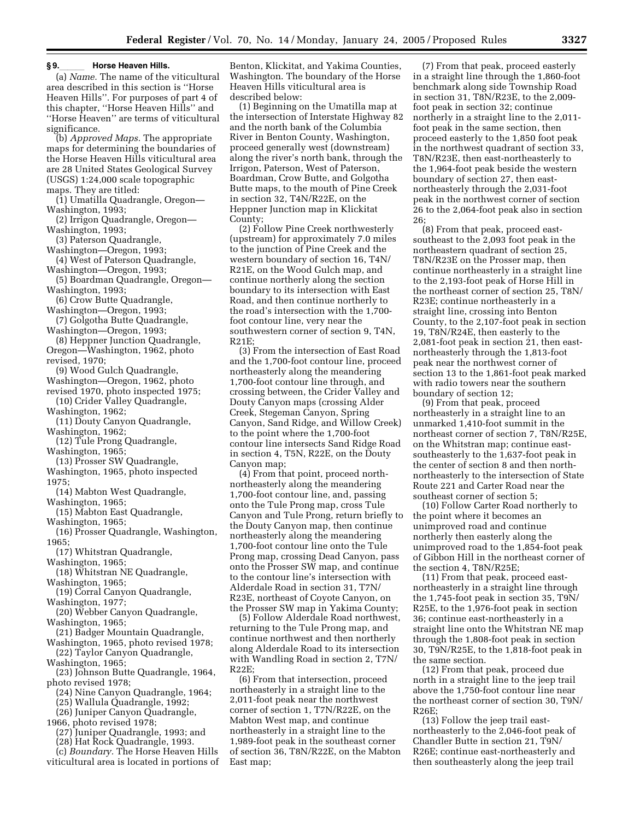### **§ 9.**lll **Horse Heaven Hills.**

(a) *Name.* The name of the viticultural area described in this section is ''Horse Heaven Hills''. For purposes of part 4 of this chapter, ''Horse Heaven Hills'' and ''Horse Heaven'' are terms of viticultural significance.

(b) *Approved Maps.* The appropriate maps for determining the boundaries of the Horse Heaven Hills viticultural area are 28 United States Geological Survey (USGS) 1:24,000 scale topographic maps. They are titled:

(1) Umatilla Quadrangle, Oregon— Washington, 1993;

- (2) Irrigon Quadrangle, Oregon— Washington, 1993;
- (3) Paterson Quadrangle,
- Washington—Oregon, 1993;
- (4) West of Paterson Quadrangle, Washington—Oregon, 1993;
- (5) Boardman Quadrangle, Oregon— Washington, 1993;
- (6) Crow Butte Quadrangle,
- Washington—Oregon, 1993; (7) Golgotha Butte Quadrangle,
- Washington—Oregon, 1993; (8) Heppner Junction Quadrangle,
- Oregon—Washington, 1962, photo revised, 1970;
- (9) Wood Gulch Quadrangle,
- Washington—Oregon, 1962, photo
- revised 1970, photo inspected 1975; (10) Crider Valley Quadrangle,
- Washington, 1962;
- (11) Douty Canyon Quadrangle, Washington, 1962;

(12) Tule Prong Quadrangle,

- Washington, 1965;
- (13) Prosser SW Quadrangle, Washington, 1965, photo inspected
- 1975;
- (14) Mabton West Quadrangle, Washington, 1965;
- (15) Mabton East Quadrangle, Washington, 1965;
- (16) Prosser Quadrangle, Washington, 1965;
- (17) Whitstran Quadrangle,
- Washington, 1965;
- (18) Whitstran NE Quadrangle, Washington, 1965;
- (19) Corral Canyon Quadrangle, Washington, 1977;
- (20) Webber Canyon Quadrangle, Washington, 1965;
- (21) Badger Mountain Quadrangle,
- Washington, 1965, photo revised 1978; (22) Taylor Canyon Quadrangle,
- Washington, 1965;

(23) Johnson Butte Quadrangle, 1964, photo revised 1978;

- (24) Nine Canyon Quadrangle, 1964;
- (25) Wallula Quadrangle, 1992;
- (26) Juniper Canyon Quadrangle,
- 1966, photo revised 1978;
	- (27) Juniper Quadrangle, 1993; and
	- (28) Hat Rock Quadrangle, 1993.
- (c) *Boundary.* The Horse Heaven Hills viticultural area is located in portions of

Benton, Klickitat, and Yakima Counties, Washington. The boundary of the Horse Heaven Hills viticultural area is described below:

(1) Beginning on the Umatilla map at the intersection of Interstate Highway 82 and the north bank of the Columbia River in Benton County, Washington, proceed generally west (downstream) along the river's north bank, through the Irrigon, Paterson, West of Paterson, Boardman, Crow Butte, and Golgotha Butte maps, to the mouth of Pine Creek in section 32, T4N/R22E, on the Heppner Junction map in Klickitat County;

(2) Follow Pine Creek northwesterly (upstream) for approximately 7.0 miles to the junction of Pine Creek and the western boundary of section 16, T4N/ R21E, on the Wood Gulch map, and continue northerly along the section boundary to its intersection with East Road, and then continue northerly to the road's intersection with the 1,700 foot contour line, very near the southwestern corner of section 9, T4N, R21E;

(3) From the intersection of East Road and the 1,700-foot contour line, proceed northeasterly along the meandering 1,700-foot contour line through, and crossing between, the Crider Valley and Douty Canyon maps (crossing Alder Creek, Stegeman Canyon, Spring Canyon, Sand Ridge, and Willow Creek) to the point where the 1,700-foot contour line intersects Sand Ridge Road in section 4, T5N, R22E, on the Douty Canyon map;

(4) From that point, proceed northnortheasterly along the meandering 1,700-foot contour line, and, passing onto the Tule Prong map, cross Tule Canyon and Tule Prong, return briefly to the Douty Canyon map, then continue northeasterly along the meandering 1,700-foot contour line onto the Tule Prong map, crossing Dead Canyon, pass onto the Prosser SW map, and continue to the contour line's intersection with Alderdale Road in section 31, T7N/ R23E, northeast of Coyote Canyon, on the Prosser SW map in Yakima County;

(5) Follow Alderdale Road northwest, returning to the Tule Prong map, and continue northwest and then northerly along Alderdale Road to its intersection with Wandling Road in section 2, T7N/  $R22F$ 

(6) From that intersection, proceed northeasterly in a straight line to the 2,011-foot peak near the northwest corner of section 1, T7N/R22E, on the Mabton West map, and continue northeasterly in a straight line to the 1,989-foot peak in the southeast corner of section 36, T8N/R22E, on the Mabton East map;

(7) From that peak, proceed easterly in a straight line through the 1,860-foot benchmark along side Township Road in section 31, T8N/R23E, to the 2,009 foot peak in section 32; continue northerly in a straight line to the 2,011 foot peak in the same section, then proceed easterly to the 1,850 foot peak in the northwest quadrant of section 33, T8N/R23E, then east-northeasterly to the 1,964-foot peak beside the western boundary of section 27, then eastnortheasterly through the 2,031-foot peak in the northwest corner of section 26 to the 2,064-foot peak also in section  $26:$ 

(8) From that peak, proceed eastsoutheast to the 2,093 foot peak in the northeastern quadrant of section 25, T8N/R23E on the Prosser map, then continue northeasterly in a straight line to the 2,193-foot peak of Horse Hill in the northeast corner of section 25, T8N/ R23E; continue northeasterly in a straight line, crossing into Benton County, to the 2,107-foot peak in section 19, T8N/R24E, then easterly to the 2,081-foot peak in section 21, then eastnortheasterly through the 1,813-foot peak near the northwest corner of section 13 to the 1,861-foot peak marked with radio towers near the southern boundary of section 12;

(9) From that peak, proceed northeasterly in a straight line to an unmarked 1,410-foot summit in the northeast corner of section 7, T8N/R25E, on the Whitstran map; continue eastsoutheasterly to the 1,637-foot peak in the center of section 8 and then northnortheasterly to the intersection of State Route 221 and Carter Road near the southeast corner of section 5;

(10) Follow Carter Road northerly to the point where it becomes an unimproved road and continue northerly then easterly along the unimproved road to the 1,854-foot peak of Gibbon Hill in the northeast corner of the section 4, T8N/R25E;

(11) From that peak, proceed eastnortheasterly in a straight line through the 1,745-foot peak in section 35, T9N/ R25E, to the 1,976-foot peak in section 36; continue east-northeasterly in a straight line onto the Whitstran NE map through the 1,808-foot peak in section 30, T9N/R25E, to the 1,818-foot peak in the same section.

(12) From that peak, proceed due north in a straight line to the jeep trail above the 1,750-foot contour line near the northeast corner of section 30, T9N/ R26E;

(13) Follow the jeep trail eastnortheasterly to the 2,046-foot peak of Chandler Butte in section 21, T9N/ R26E; continue east-northeasterly and then southeasterly along the jeep trail